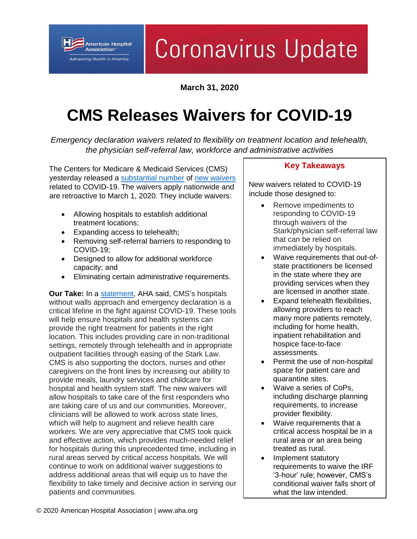Association" **Advancing Health in America** 

**American Hospital** 

# Coronavirus Update

**March 31, 2020**

## **CMS Releases Waivers for COVID-19**

*Emergency declaration waivers related to flexibility on treatment location and telehealth, the physician self-referral law, workforce and administrative activities*

The Centers for Medicare & Medicaid Services (CMS) yesterday released a [substantial](https://www.cms.gov/files/document/summary-covid-19-emergency-declaration-waivers.pdf) number of [new waivers](https://www.cms.gov/files/document/covid-final-ifc.pdf) related to COVID-19. The waivers apply nationwide and are retroactive to March 1, 2020. They include waivers:

- Allowing hospitals to establish additional treatment locations;
- Expanding access to telehealth;
- Removing self-referral barriers to responding to COVID-19;
- Designed to allow for additional workforce capacity; and
- Eliminating certain administrative requirements.

**Our Take:** In a [statement,](https://www.aha.org/press-releases/2020-03-31-aha-statement-cms-emergency-declaration-waivers-health-providers) AHA said, CMS's hospitals without walls approach and emergency declaration is a critical lifeline in the fight against COVID-19. These tools will help ensure hospitals and health systems can provide the right treatment for patients in the right location. This includes providing care in non-traditional settings, remotely through telehealth and in appropriate outpatient facilities through easing of the Stark Law. CMS is also supporting the doctors, nurses and other caregivers on the front lines by increasing our ability to provide meals, laundry services and childcare for hospital and health system staff. The new waivers will allow hospitals to take care of the first responders who are taking care of us and our communities. Moreover, clinicians will be allowed to work across state lines, which will help to augment and relieve health care workers. We are very appreciative that CMS took quick and effective action, which provides much-needed relief for hospitals during this unprecedented time, including in rural areas served by critical access hospitals. We will continue to work on additional waiver suggestions to address additional areas that will equip us to have the flexibility to take timely and decisive action in serving our patients and communities.

#### **Key Takeaways**

New waivers related to COVID-19 include those designed to:

- Remove impediments to responding to COVID-19 through waivers of the Stark/physician self-referral law that can be relied on immediately by hospitals.
- Waive requirements that out-ofstate practitioners be licensed in the state where they are providing services when they are licensed in another state.
- Expand telehealth flexibilities, allowing providers to reach many more patients remotely, including for home health, inpatient rehabilitation and hospice face-to-face assessments.
- Permit the use of non-hospital space for patient care and quarantine sites.
- Waive a series of CoPs, including discharge planning requirements, to increase provider flexibility.
- Waive requirements that a critical access hospital be in a rural area or an area being treated as rural.
- Implement statutory requirements to waive the IRF '3-hour' rule; however, CMS's conditional waiver falls short of what the law intended.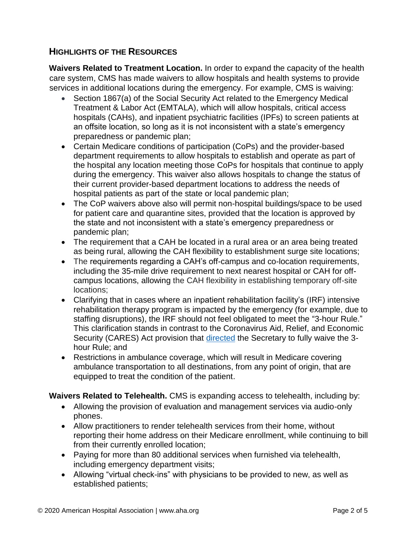### **HIGHLIGHTS OF THE RESOURCES**

**Waivers Related to Treatment Location.** In order to expand the capacity of the health care system, CMS has made waivers to allow hospitals and health systems to provide services in additional locations during the emergency. For example, CMS is waiving:

- Section 1867(a) of the Social Security Act related to the Emergency Medical Treatment & Labor Act (EMTALA), which will allow hospitals, critical access hospitals (CAHs), and inpatient psychiatric facilities (IPFs) to screen patients at an offsite location, so long as it is not inconsistent with a state's emergency preparedness or pandemic plan;
- Certain Medicare conditions of participation (CoPs) and the provider-based department requirements to allow hospitals to establish and operate as part of the hospital any location meeting those CoPs for hospitals that continue to apply during the emergency. This waiver also allows hospitals to change the status of their current provider-based department locations to address the needs of hospital patients as part of the state or local pandemic plan;
- The CoP waivers above also will permit non-hospital buildings/space to be used for patient care and quarantine sites, provided that the location is approved by the state and not inconsistent with a state's emergency preparedness or pandemic plan;
- The requirement that a CAH be located in a rural area or an area being treated as being rural, allowing the CAH flexibility to establishment surge site locations;
- The requirements regarding a CAH's off-campus and co-location requirements, including the 35-mile drive requirement to next nearest hospital or CAH for offcampus locations, allowing the CAH flexibility in establishing temporary off-site locations;
- Clarifying that in cases where an inpatient rehabilitation facility's (IRF) intensive rehabilitation therapy program is impacted by the emergency (for example, due to staffing disruptions), the IRF should not feel obligated to meet the "3-hour Rule." This clarification stands in contrast to the Coronavirus Aid, Relief, and Economic Security (CARES) Act provision that [directed](https://www.aha.org/system/files/media/file/2020/03/house-passes-the-coronavirus-aid%2C-relief%2C-and-economic-security-cares-act-bulltein-3-27-2020.pdf) the Secretary to fully waive the 3hour Rule; and
- Restrictions in ambulance coverage, which will result in Medicare covering ambulance transportation to all destinations, from any point of origin, that are equipped to treat the condition of the patient.

**Waivers Related to Telehealth.** CMS is expanding access to telehealth, including by:

- Allowing the provision of evaluation and management services via audio-only phones.
- Allow practitioners to render telehealth services from their home, without reporting their home address on their Medicare enrollment, while continuing to bill from their currently enrolled location;
- Paying for more than 80 additional services when furnished via telehealth, including emergency department visits;
- Allowing "virtual check-ins" with physicians to be provided to new, as well as established patients;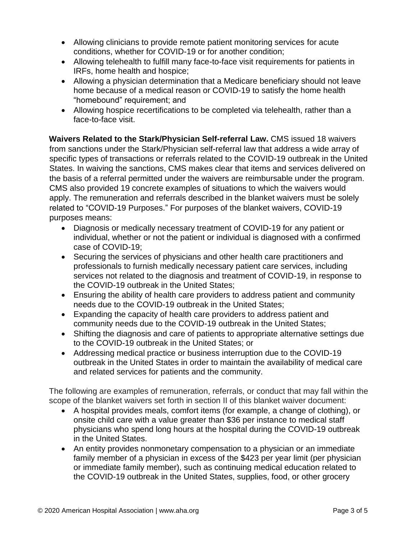- Allowing clinicians to provide remote patient monitoring services for acute conditions, whether for COVID-19 or for another condition;
- Allowing telehealth to fulfill many face-to-face visit requirements for patients in IRFs, home health and hospice;
- Allowing a physician determination that a Medicare beneficiary should not leave home because of a medical reason or COVID-19 to satisfy the home health "homebound" requirement; and
- Allowing hospice recertifications to be completed via telehealth, rather than a face-to-face visit.

**Waivers Related to the Stark/Physician Self-referral Law.** CMS issued 18 waivers from sanctions under the Stark/Physician self-referral law that address a wide array of specific types of transactions or referrals related to the COVID-19 outbreak in the United States. In waiving the sanctions, CMS makes clear that items and services delivered on the basis of a referral permitted under the waivers are reimbursable under the program. CMS also provided 19 concrete examples of situations to which the waivers would apply. The remuneration and referrals described in the blanket waivers must be solely related to "COVID-19 Purposes." For purposes of the blanket waivers, COVID-19 purposes means:

- Diagnosis or medically necessary treatment of COVID-19 for any patient or individual, whether or not the patient or individual is diagnosed with a confirmed case of COVID-19;
- Securing the services of physicians and other health care practitioners and professionals to furnish medically necessary patient care services, including services not related to the diagnosis and treatment of COVID-19, in response to the COVID-19 outbreak in the United States;
- Ensuring the ability of health care providers to address patient and community needs due to the COVID-19 outbreak in the United States;
- Expanding the capacity of health care providers to address patient and community needs due to the COVID-19 outbreak in the United States;
- Shifting the diagnosis and care of patients to appropriate alternative settings due to the COVID-19 outbreak in the United States; or
- Addressing medical practice or business interruption due to the COVID-19 outbreak in the United States in order to maintain the availability of medical care and related services for patients and the community.

The following are examples of remuneration, referrals, or conduct that may fall within the scope of the blanket waivers set forth in section II of this blanket waiver document:

- A hospital provides meals, comfort items (for example, a change of clothing), or onsite child care with a value greater than \$36 per instance to medical staff physicians who spend long hours at the hospital during the COVID-19 outbreak in the United States.
- An entity provides nonmonetary compensation to a physician or an immediate family member of a physician in excess of the \$423 per year limit (per physician or immediate family member), such as continuing medical education related to the COVID-19 outbreak in the United States, supplies, food, or other grocery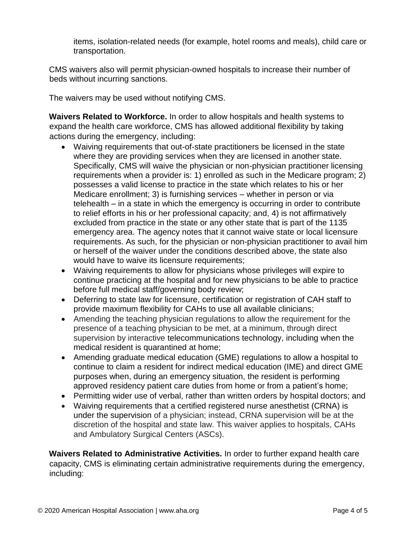items, isolation-related needs (for example, hotel rooms and meals), child care or transportation.

CMS waivers also will permit physician-owned hospitals to increase their number of beds without incurring sanctions.

The waivers may be used without notifying CMS.

**Waivers Related to Workforce.** In order to allow hospitals and health systems to expand the health care workforce, CMS has allowed additional flexibility by taking actions during the emergency, including:

- Waiving requirements that out-of-state practitioners be licensed in the state where they are providing services when they are licensed in another state. Specifically, CMS will waive the physician or non-physician practitioner licensing requirements when a provider is: 1) enrolled as such in the Medicare program; 2) possesses a valid license to practice in the state which relates to his or her Medicare enrollment; 3) is furnishing services – whether in person or via telehealth – in a state in which the emergency is occurring in order to contribute to relief efforts in his or her professional capacity; and, 4) is not affirmatively excluded from practice in the state or any other state that is part of the 1135 emergency area. The agency notes that it cannot waive state or local licensure requirements. As such, for the physician or non-physician practitioner to avail him or herself of the waiver under the conditions described above, the state also would have to waive its licensure requirements;
- Waiving requirements to allow for physicians whose privileges will expire to continue practicing at the hospital and for new physicians to be able to practice before full medical staff/governing body review;
- Deferring to state law for licensure, certification or registration of CAH staff to provide maximum flexibility for CAHs to use all available clinicians;
- Amending the teaching physician regulations to allow the requirement for the presence of a teaching physician to be met, at a minimum, through direct supervision by interactive telecommunications technology, including when the medical resident is quarantined at home;
- Amending graduate medical education (GME) regulations to allow a hospital to continue to claim a resident for indirect medical education (IME) and direct GME purposes when, during an emergency situation, the resident is performing approved residency patient care duties from home or from a patient's home;
- Permitting wider use of verbal, rather than written orders by hospital doctors; and
- Waiving requirements that a certified registered nurse anesthetist (CRNA) is under the supervision of a physician; instead, CRNA supervision will be at the discretion of the hospital and state law. This waiver applies to hospitals, CAHs and Ambulatory Surgical Centers (ASCs).

**Waivers Related to Administrative Activities.** In order to further expand health care capacity, CMS is eliminating certain administrative requirements during the emergency, including: